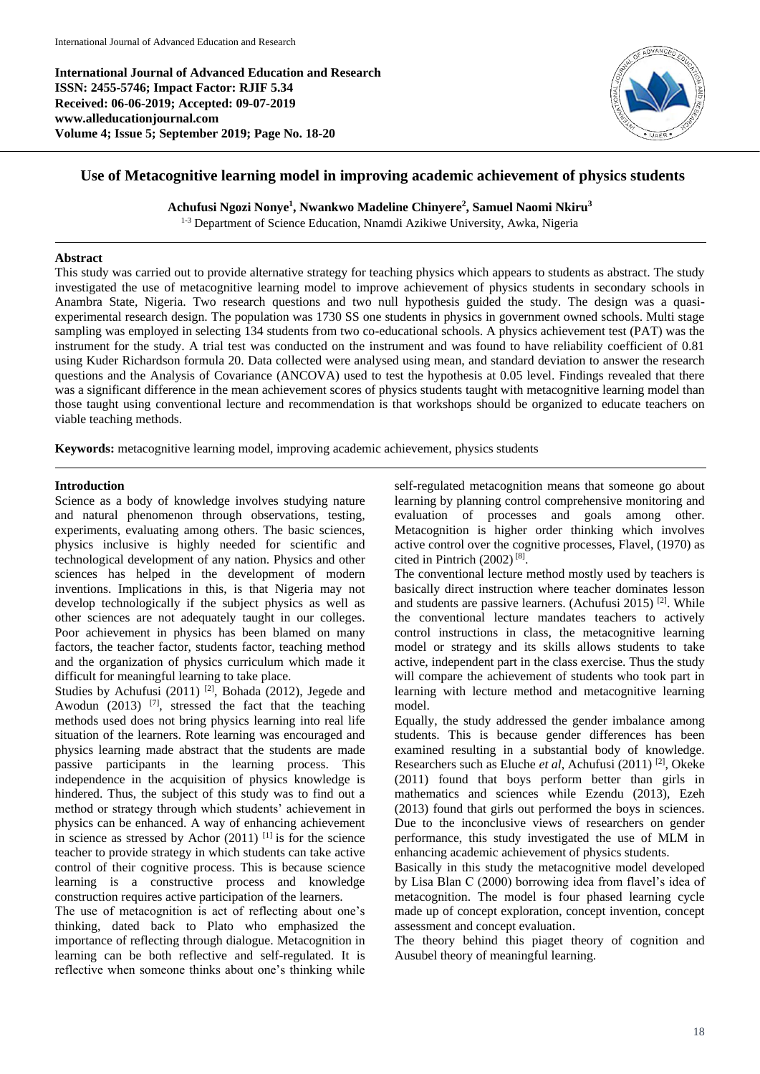**International Journal of Advanced Education and Research ISSN: 2455-5746; Impact Factor: RJIF 5.34 Received: 06-06-2019; Accepted: 09-07-2019 www.alleducationjournal.com Volume 4; Issue 5; September 2019; Page No. 18-20**



# **Use of Metacognitive learning model in improving academic achievement of physics students**

**Achufusi Ngozi Nonye<sup>1</sup> , Nwankwo Madeline Chinyere<sup>2</sup> , Samuel Naomi Nkiru<sup>3</sup>**

<sup>1-3</sup> Department of Science Education, Nnamdi Azikiwe University, Awka, Nigeria

## **Abstract**

This study was carried out to provide alternative strategy for teaching physics which appears to students as abstract. The study investigated the use of metacognitive learning model to improve achievement of physics students in secondary schools in Anambra State, Nigeria. Two research questions and two null hypothesis guided the study. The design was a quasiexperimental research design. The population was 1730 SS one students in physics in government owned schools. Multi stage sampling was employed in selecting 134 students from two co-educational schools. A physics achievement test (PAT) was the instrument for the study. A trial test was conducted on the instrument and was found to have reliability coefficient of 0.81 using Kuder Richardson formula 20. Data collected were analysed using mean, and standard deviation to answer the research questions and the Analysis of Covariance (ANCOVA) used to test the hypothesis at 0.05 level. Findings revealed that there was a significant difference in the mean achievement scores of physics students taught with metacognitive learning model than those taught using conventional lecture and recommendation is that workshops should be organized to educate teachers on viable teaching methods.

**Keywords:** metacognitive learning model, improving academic achievement, physics students

## **Introduction**

Science as a body of knowledge involves studying nature and natural phenomenon through observations, testing, experiments, evaluating among others. The basic sciences, physics inclusive is highly needed for scientific and technological development of any nation. Physics and other sciences has helped in the development of modern inventions. Implications in this, is that Nigeria may not develop technologically if the subject physics as well as other sciences are not adequately taught in our colleges. Poor achievement in physics has been blamed on many factors, the teacher factor, students factor, teaching method and the organization of physics curriculum which made it difficult for meaningful learning to take place.

Studies by Achufusi  $(2011)$ <sup>[2]</sup>, Bohada (2012), Jegede and Awodun  $(2013)$  <sup>[7]</sup>, stressed the fact that the teaching methods used does not bring physics learning into real life situation of the learners. Rote learning was encouraged and physics learning made abstract that the students are made passive participants in the learning process. This independence in the acquisition of physics knowledge is hindered. Thus, the subject of this study was to find out a method or strategy through which students' achievement in physics can be enhanced. A way of enhancing achievement in science as stressed by Achor  $(2011)$ <sup>[1]</sup> is for the science teacher to provide strategy in which students can take active control of their cognitive process. This is because science learning is a constructive process and knowledge construction requires active participation of the learners.

The use of metacognition is act of reflecting about one's thinking, dated back to Plato who emphasized the importance of reflecting through dialogue. Metacognition in learning can be both reflective and self-regulated. It is reflective when someone thinks about one's thinking while

self-regulated metacognition means that someone go about learning by planning control comprehensive monitoring and evaluation of processes and goals among other. Metacognition is higher order thinking which involves active control over the cognitive processes, Flavel, (1970) as cited in Pintrich  $(2002)^{8}$ .

The conventional lecture method mostly used by teachers is basically direct instruction where teacher dominates lesson and students are passive learners. (Achufusi 2015)<sup>[2]</sup>. While the conventional lecture mandates teachers to actively control instructions in class, the metacognitive learning model or strategy and its skills allows students to take active, independent part in the class exercise. Thus the study will compare the achievement of students who took part in learning with lecture method and metacognitive learning model.

Equally, the study addressed the gender imbalance among students. This is because gender differences has been examined resulting in a substantial body of knowledge. Researchers such as Eluche et al, Achufusi (2011)<sup>[2]</sup>, Okeke (2011) found that boys perform better than girls in mathematics and sciences while Ezendu (2013), Ezeh (2013) found that girls out performed the boys in sciences. Due to the inconclusive views of researchers on gender performance, this study investigated the use of MLM in enhancing academic achievement of physics students.

Basically in this study the metacognitive model developed by Lisa Blan C (2000) borrowing idea from flavel's idea of metacognition. The model is four phased learning cycle made up of concept exploration, concept invention, concept assessment and concept evaluation.

The theory behind this piaget theory of cognition and Ausubel theory of meaningful learning.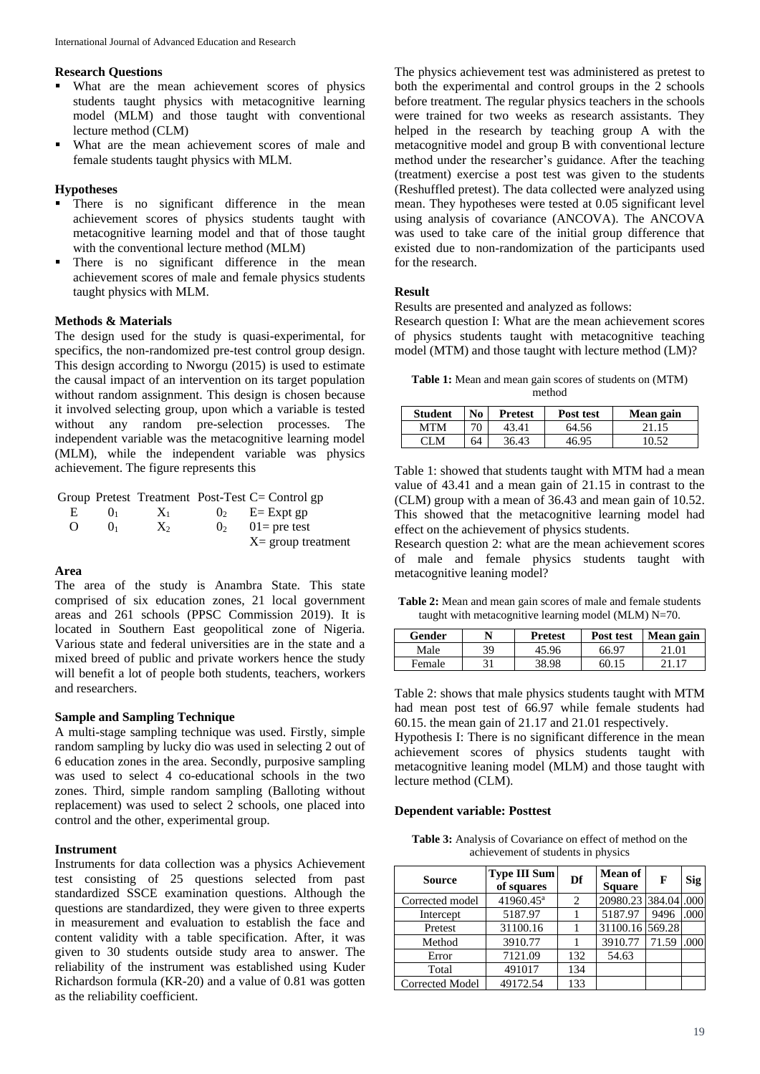#### **Research Questions**

- What are the mean achievement scores of physics students taught physics with metacognitive learning model (MLM) and those taught with conventional lecture method (CLM)
- What are the mean achievement scores of male and female students taught physics with MLM.

# **Hypotheses**

- There is no significant difference in the mean achievement scores of physics students taught with metacognitive learning model and that of those taught with the conventional lecture method (MLM)
- There is no significant difference in the mean achievement scores of male and female physics students taught physics with MLM.

#### **Methods & Materials**

The design used for the study is quasi-experimental, for specifics, the non-randomized pre-test control group design. This design according to Nworgu (2015) is used to estimate the causal impact of an intervention on its target population without random assignment. This design is chosen because it involved selecting group, upon which a variable is tested without any random pre-selection processes. The independent variable was the metacognitive learning model (MLM), while the independent variable was physics achievement. The figure represents this

|    |                 |         |                | Group Pretest Treatment Post-Test $C =$ Control gp |
|----|-----------------|---------|----------------|----------------------------------------------------|
| Н. | () <sub>1</sub> | $X_1$   |                | $0_2$ E= Expt gp                                   |
| O  | $()_1$          | $X_{2}$ | 0 <sub>2</sub> | $01$ = pre test                                    |
|    |                 |         |                | $X =$ group treatment                              |

## **Area**

The area of the study is Anambra State. This state comprised of six education zones, 21 local government areas and 261 schools (PPSC Commission 2019). It is located in Southern East geopolitical zone of Nigeria. Various state and federal universities are in the state and a mixed breed of public and private workers hence the study will benefit a lot of people both students, teachers, workers and researchers.

## **Sample and Sampling Technique**

A multi-stage sampling technique was used. Firstly, simple random sampling by lucky dio was used in selecting 2 out of 6 education zones in the area. Secondly, purposive sampling was used to select 4 co-educational schools in the two zones. Third, simple random sampling (Balloting without replacement) was used to select 2 schools, one placed into control and the other, experimental group.

#### **Instrument**

Instruments for data collection was a physics Achievement test consisting of 25 questions selected from past standardized SSCE examination questions. Although the questions are standardized, they were given to three experts in measurement and evaluation to establish the face and content validity with a table specification. After, it was given to 30 students outside study area to answer. The reliability of the instrument was established using Kuder Richardson formula (KR-20) and a value of 0.81 was gotten as the reliability coefficient.

The physics achievement test was administered as pretest to both the experimental and control groups in the 2 schools before treatment. The regular physics teachers in the schools were trained for two weeks as research assistants. They helped in the research by teaching group A with the metacognitive model and group B with conventional lecture method under the researcher's guidance. After the teaching (treatment) exercise a post test was given to the students (Reshuffled pretest). The data collected were analyzed using mean. They hypotheses were tested at 0.05 significant level using analysis of covariance (ANCOVA). The ANCOVA was used to take care of the initial group difference that existed due to non-randomization of the participants used for the research.

#### **Result**

Results are presented and analyzed as follows:

Research question I: What are the mean achievement scores of physics students taught with metacognitive teaching model (MTM) and those taught with lecture method (LM)?

**Table 1:** Mean and mean gain scores of students on (MTM) method

| <b>Student</b> | N <sub>0</sub> | <b>Pretest</b> | Post test | Mean gain |
|----------------|----------------|----------------|-----------|-----------|
| MTM            | 70             | 43.41          | 64.56     | 21.15     |
| CLM            | 64             | 36.43          | 46.95     | 10.52     |

Table 1: showed that students taught with MTM had a mean value of 43.41 and a mean gain of 21.15 in contrast to the (CLM) group with a mean of 36.43 and mean gain of 10.52. This showed that the metacognitive learning model had effect on the achievement of physics students.

Research question 2: what are the mean achievement scores of male and female physics students taught with metacognitive leaning model?

**Table 2:** Mean and mean gain scores of male and female students taught with metacognitive learning model (MLM) N=70.

| Gender | N  | <b>Pretest</b> | Post test | Mean gain |
|--------|----|----------------|-----------|-----------|
| Male   | 39 | 45.96          | 66.97     | 21.01     |
| Female | 31 | 38.98          | 60.15     |           |

Table 2: shows that male physics students taught with MTM had mean post test of 66.97 while female students had 60.15. the mean gain of 21.17 and 21.01 respectively.

Hypothesis I: There is no significant difference in the mean achievement scores of physics students taught with metacognitive leaning model (MLM) and those taught with lecture method (CLM).

#### **Dependent variable: Posttest**

**Table 3:** Analysis of Covariance on effect of method on the achievement of students in physics

| <b>Source</b>          | <b>Type III Sum</b><br>of squares | Df             | <b>Mean of</b><br><b>Square</b> | F     | Sig  |
|------------------------|-----------------------------------|----------------|---------------------------------|-------|------|
| Corrected model        | 41960.45 <sup>a</sup>             | $\mathfrak{D}$ | 20980.23 384.04 .000            |       |      |
| Intercept              | 5187.97                           |                | 5187.97                         | 9496  | .000 |
| Pretest                | 31100.16                          |                | 31100.16 569.28                 |       |      |
| Method                 | 3910.77                           |                | 3910.77                         | 71.59 | .000 |
| Error                  | 7121.09                           | 132            | 54.63                           |       |      |
| Total                  | 491017                            | 134            |                                 |       |      |
| <b>Corrected Model</b> | 49172.54                          | 133            |                                 |       |      |